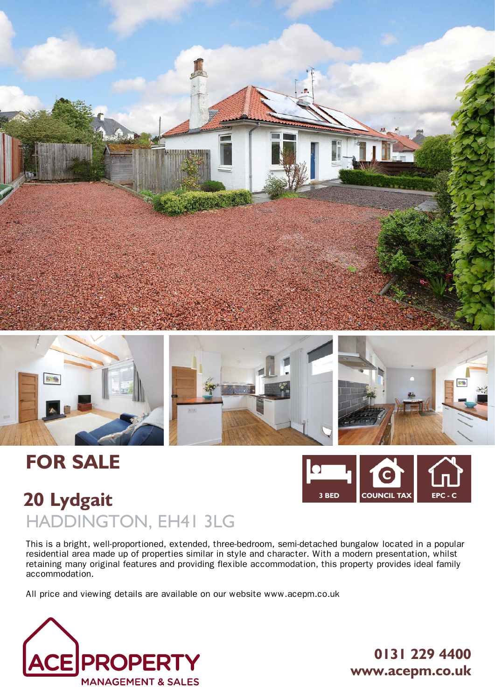



# **FOR SALE**



## **20 Lydgait** HADDINGTON, EH41 3LG

This is a bright, well-proportioned, extended, three-bedroom, semi-detached bungalow located in a popular residential area made up of properties similar in style and character. With a modern presentation, whilst retaining many original features and providing flexible accommodation, this property provides ideal family accommodation.

All price and viewing details are available on our website www.acepm.co.uk



**0131 229 4400 www.acepm.co.uk**